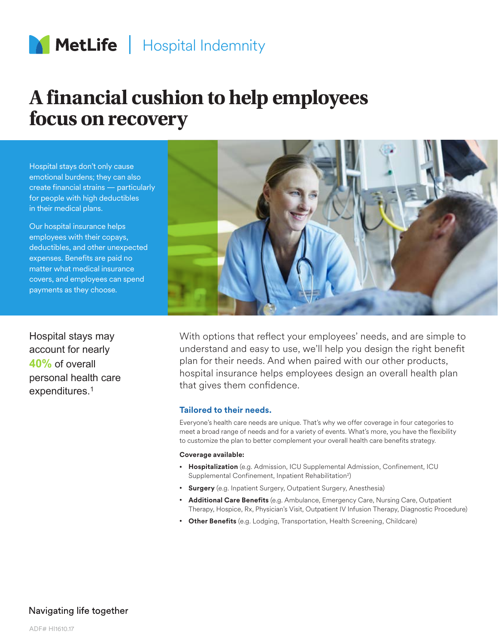

# **A financial cushion to help employees focus on recovery**

Hospital stays don't only cause emotional burdens; they can also create financial strains — particularly for people with high deductibles in their medical plans.

Our hospital insurance helps employees with their copays, deductibles, and other unexpected expenses. Benefits are paid no matter what medical insurance covers, and employees can spend payments as they choose.

Hospital stays may account for nearly **40%** of overall personal health care expenditures.1



With options that reflect your employees' needs, and are simple to understand and easy to use, we'll help you design the right benefit plan for their needs. And when paired with our other products, hospital insurance helps employees design an overall health plan that gives them confidence.

#### **Tailored to their needs.**

Everyone's health care needs are unique. That's why we offer coverage in four categories to meet a broad range of needs and for a variety of events. What's more, you have the flexibility to customize the plan to better complement your overall health care benefits strategy.

#### **Coverage available:**

- **Hospitalization** (e.g. Admission, ICU Supplemental Admission, Confinement, ICU Supplemental Confinement, Inpatient Rehabilitation<sup>2</sup>)
- **Surgery** (e.g. Inpatient Surgery, Outpatient Surgery, Anesthesia)
- **Additional Care Benefits** (e.g. Ambulance, Emergency Care, Nursing Care, Outpatient Therapy, Hospice, Rx, Physician's Visit, Outpatient IV Infusion Therapy, Diagnostic Procedure)
- **Other Benefits** (e.g. Lodging, Transportation, Health Screening, Childcare)